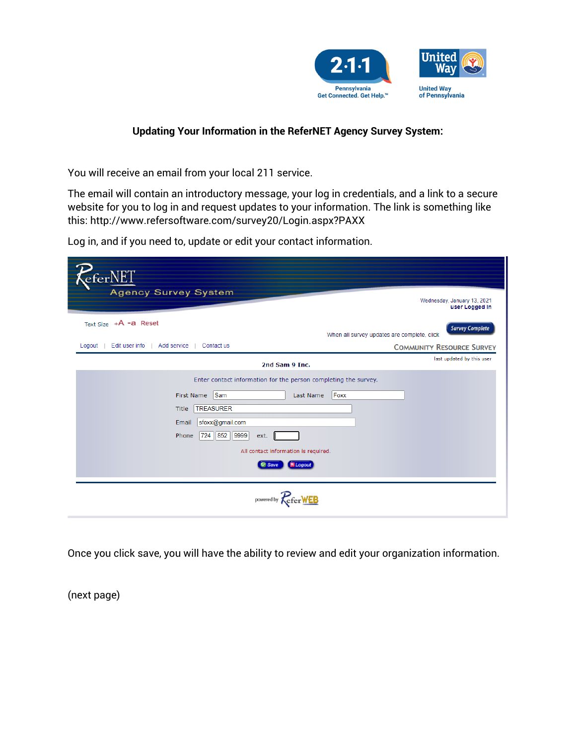

## **Updating Your Information in the ReferNET Agency Survey System:**

You will receive an email from your local 211 service.

The email will contain an introductory message, your log in credentials, and a link to a secure website for you to log in and request updates to your information. The link is something like this: http://www.refersoftware.com/survey20/Login.aspx?PAXX

Log in, and if you need to, update or edit your contact information.

| eferNEI<br><b>Agency Survey System</b>                                                                                                                                                               | Wednesday, January 13, 2021<br>user Logged In                         |  |
|------------------------------------------------------------------------------------------------------------------------------------------------------------------------------------------------------|-----------------------------------------------------------------------|--|
| Text Size +A -a Reset                                                                                                                                                                                | <b>Survey Complete</b><br>When all survey updates are complete, click |  |
| Edit user info<br>Logout<br>Add service<br>Contact us                                                                                                                                                | <b>COMMUNITY RESOURCE SURVEY</b>                                      |  |
| 2nd Sam 9 Inc.                                                                                                                                                                                       | last updated by this user                                             |  |
| Enter contact information for the person completing the survey.                                                                                                                                      |                                                                       |  |
| Sam<br>Foxx<br>First Name<br>Last Name<br><b>TREASURER</b><br>Title<br>sfoxx@gmail.com<br>Email<br>724 852 9999<br>Phone<br>ext.<br>All contact information is required.<br><b>fi</b> Logout<br>Save |                                                                       |  |
| powered by                                                                                                                                                                                           |                                                                       |  |

Once you click save, you will have the ability to review and edit your organization information.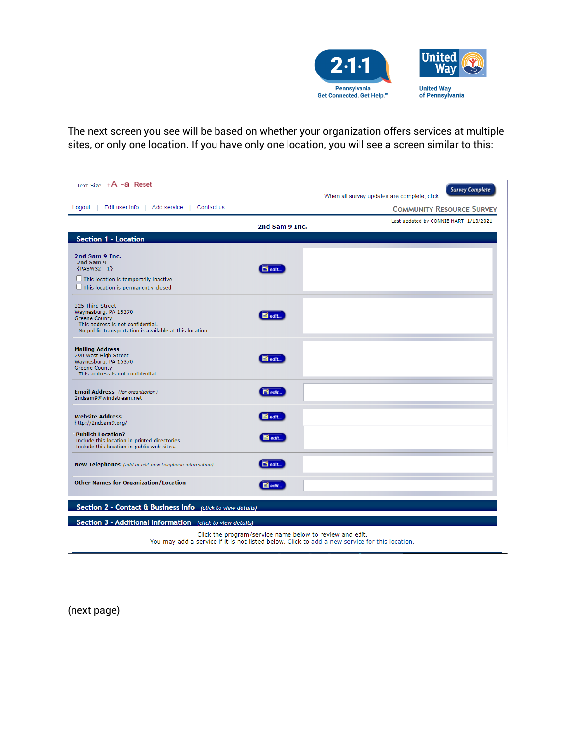

The next screen you see will be based on whether your organization offers services at multiple sites, or only one location. If you have only one location, you will see a screen similar to this:

| Text Size $+A$ -a Reset                                                                        |                                                          | <b>Survey Complete</b>                      |  |
|------------------------------------------------------------------------------------------------|----------------------------------------------------------|---------------------------------------------|--|
|                                                                                                |                                                          | When all survey updates are complete, click |  |
| Logout   Edit user info   Add service   Contact us                                             |                                                          | <b>COMMUNITY RESOURCE SURVEY</b>            |  |
|                                                                                                | 2nd Sam 9 Inc.                                           | Last updated by CONNIE HART 1/13/2021       |  |
| <b>Section 1 - Location</b>                                                                    |                                                          |                                             |  |
|                                                                                                |                                                          |                                             |  |
| 2nd Sam 9 Inc.<br>2nd Sam 9                                                                    |                                                          |                                             |  |
| ${PASW32 - 1}$                                                                                 | $\blacksquare$ edit                                      |                                             |  |
| $\Box$ This location is temporarily inactive                                                   |                                                          |                                             |  |
| $\Box$ This location is permanently closed                                                     |                                                          |                                             |  |
| 325 Third Street                                                                               |                                                          |                                             |  |
| Waynesburg, PA 15370<br><b>Greene County</b>                                                   | $\blacksquare$ edit                                      |                                             |  |
| - This address is not confidential.                                                            |                                                          |                                             |  |
| - No public transportation is available at this location.                                      |                                                          |                                             |  |
| <b>Mailing Address</b>                                                                         |                                                          |                                             |  |
| 290 West High Street<br>Waynesburg, PA 15370                                                   | $\blacksquare$ edit                                      |                                             |  |
| <b>Greene County</b>                                                                           |                                                          |                                             |  |
| - This address is not confidential.                                                            |                                                          |                                             |  |
| Email Address (for organization)                                                               | $\blacksquare$ edit                                      |                                             |  |
| 2ndsam9@windstream.net                                                                         |                                                          |                                             |  |
| <b>Website Address</b>                                                                         | $\blacksquare$ edit                                      |                                             |  |
| http://2ndsam9.org/                                                                            |                                                          |                                             |  |
| <b>Publish Location?</b>                                                                       | $\blacksquare$ edit                                      |                                             |  |
| Include this location in printed directories.<br>Include this location in public web sites.    |                                                          |                                             |  |
|                                                                                                |                                                          |                                             |  |
| New Telephones (add or edit new telephone information)                                         | $\blacksquare$ edit                                      |                                             |  |
| <b>Other Names for Organization/Location</b>                                                   | $\Box$ edit                                              |                                             |  |
| Section 2 - Contact & Business Info (click to view details)                                    |                                                          |                                             |  |
| Section 3 - Additional Information (click to view details)                                     |                                                          |                                             |  |
|                                                                                                | Click the program/service name below to review and edit. |                                             |  |
| You may add a service if it is not listed below. Click to add a new service for this location. |                                                          |                                             |  |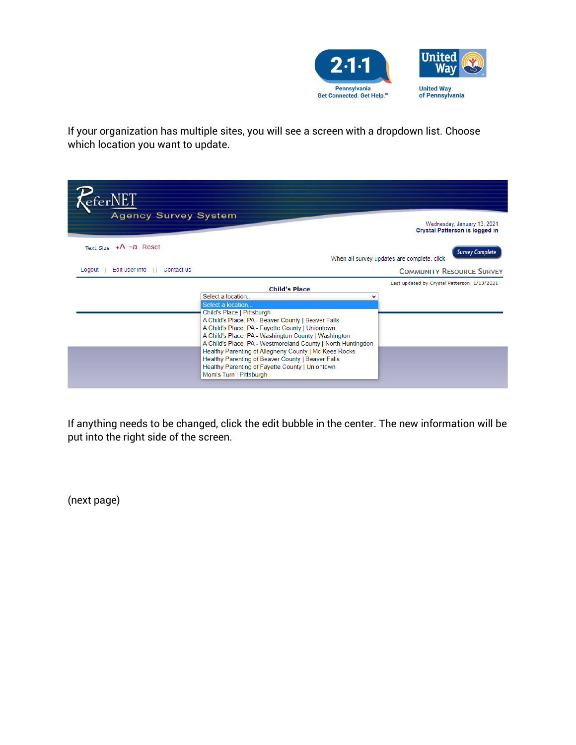

If your organization has multiple sites, you will see a screen with a dropdown list. Choose which location you want to update.

| <b>Agency Survey System</b><br>Wednesday, January 13, 2021 |                                                                                                                                                                                                                                                                                                                                                                                                                                                                                                                            |                                                                       |  |  |  |
|------------------------------------------------------------|----------------------------------------------------------------------------------------------------------------------------------------------------------------------------------------------------------------------------------------------------------------------------------------------------------------------------------------------------------------------------------------------------------------------------------------------------------------------------------------------------------------------------|-----------------------------------------------------------------------|--|--|--|
|                                                            |                                                                                                                                                                                                                                                                                                                                                                                                                                                                                                                            | Crystal Patterson is logged in                                        |  |  |  |
| Text Size $+A -a$ Reset                                    |                                                                                                                                                                                                                                                                                                                                                                                                                                                                                                                            | <b>Survey Complete</b><br>When all survey updates are complete, click |  |  |  |
| Edit user info   <br>Contact us<br>Logout                  |                                                                                                                                                                                                                                                                                                                                                                                                                                                                                                                            | <b>COMMUNITY RESOURCE SURVEY</b>                                      |  |  |  |
|                                                            | <b>Child's Place</b><br>Select a location<br>Select a location<br>Child's Place   Pittsburgh<br>A Child's Place, PA - Beaver County   Beaver Falls<br>A Child's Place, PA - Fayette County   Uniontown<br>A Child's Place, PA - Washington County   Washington<br>A Child's Place, PA - Westmoreland County   North Huntingdon<br>Healthy Parenting of Allegheny County   Mc Kees Rocks<br>Healthy Parenting of Beaver County   Beaver Falls<br>Healthy Parenting of Fayette County   Uniontown<br>Mom's Turn   Pittsburgh | Last updated by Crystal Patterson 1/13/2021                           |  |  |  |

If anything needs to be changed, click the edit bubble in the center. The new information will be put into the right side of the screen.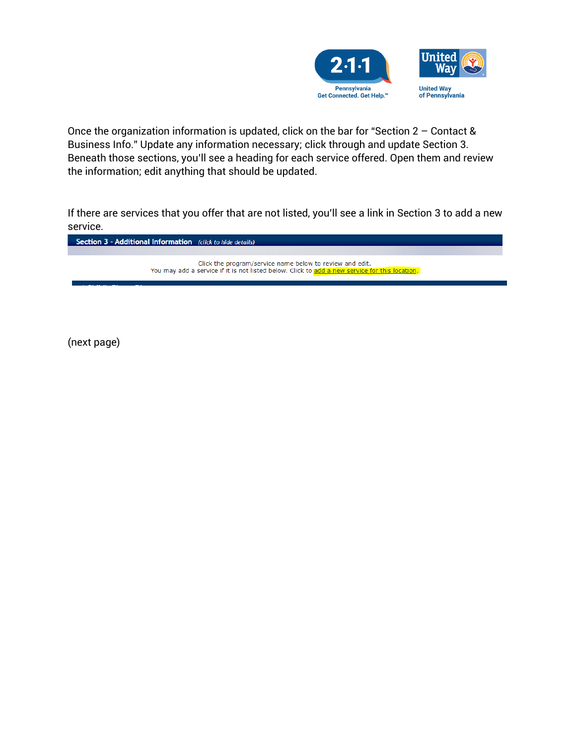

Once the organization information is updated, click on the bar for "Section 2 – Contact & Business Info." Update any information necessary; click through and update Section 3. Beneath those sections, you'll see a heading for each service offered. Open them and review the information; edit anything that should be updated.

If there are services that you offer that are not listed, you'll see a link in Section 3 to add a new service.